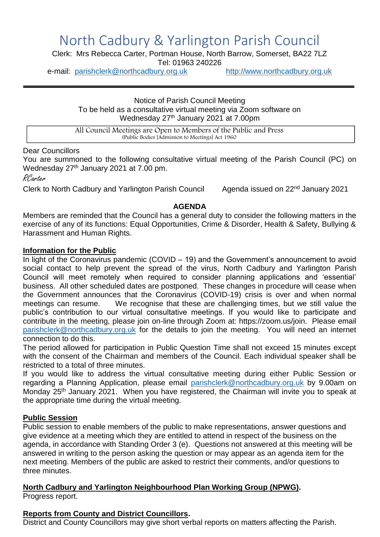# North Cadbury & Yarlington Parish Council

Clerk: Mrs Rebecca Carter, Portman House, North Barrow, Somerset, BA22 7LZ Tel: 01963 240226

e-mail: [parishclerk@northcadbury.org.uk](mailto:parishclerk@northcadbury.org.uk) [http://www.northcadbury.org.uk](http://www.northcadbury.org.uk/)

Notice of Parish Council Meeting To be held as a consultative virtual meeting via Zoom software on Wednesday 27<sup>th</sup> January 2021 at 7.00pm

All Council Meetings are Open to Members of the Public and Press (Public Bodies [Admission to Meetings] Act 1960

#### Dear Councillors

You are summoned to the following consultative virtual meeting of the Parish Council (PC) on Wednesday 27<sup>th</sup> January 2021 at 7.00 pm.

RCarter

Clerk to North Cadbury and Yarlington Parish Council Agenda issued on 22<sup>nd</sup> January 2021

#### **AGENDA**

Members are reminded that the Council has a general duty to consider the following matters in the exercise of any of its functions: Equal Opportunities, Crime & Disorder, Health & Safety, Bullying & Harassment and Human Rights.

#### **Information for the Public**

In light of the Coronavirus pandemic (COVID – 19) and the Government's announcement to avoid social contact to help prevent the spread of the virus, North Cadbury and Yarlington Parish Council will meet remotely when required to consider planning applications and 'essential' business. All other scheduled dates are postponed. These changes in procedure will cease when the Government announces that the Coronavirus (COVID-19) crisis is over and when normal meetings can resume. We recognise that these are challenging times, but we still value the public's contribution to our virtual consultative meetings. If you would like to participate and contribute in the meeting, please join on-line through Zoom at: https://zoom.us/join. Please email [parishclerk@northcadbury.org.uk](mailto:parishclerk@northcadbury.org.uk) for the details to join the meeting. You will need an internet connection to do this.

The period allowed for participation in Public Question Time shall not exceed 15 minutes except with the consent of the Chairman and members of the Council. Each individual speaker shall be restricted to a total of three minutes.

If you would like to address the virtual consultative meeting during either Public Session or regarding a Planning Application, please email [parishclerk@northcadbury.org.uk](mailto:parishclerk@northcadbury.org.uk) by 9.00am on Monday 25<sup>th</sup> January 2021. When you have registered, the Chairman will invite you to speak at the appropriate time during the virtual meeting.

#### **Public Session**

Public session to enable members of the public to make representations, answer questions and give evidence at a meeting which they are entitled to attend in respect of the business on the agenda, in accordance with Standing Order 3 (e). Questions not answered at this meeting will be answered in writing to the person asking the question or may appear as an agenda item for the next meeting. Members of the public are asked to restrict their comments, and/or questions to three minutes.

#### **North Cadbury and Yarlington Neighbourhood Plan Working Group (NPWG).** Progress report.

#### **Reports from County and District Councillors.**

District and County Councillors may give short verbal reports on matters affecting the Parish.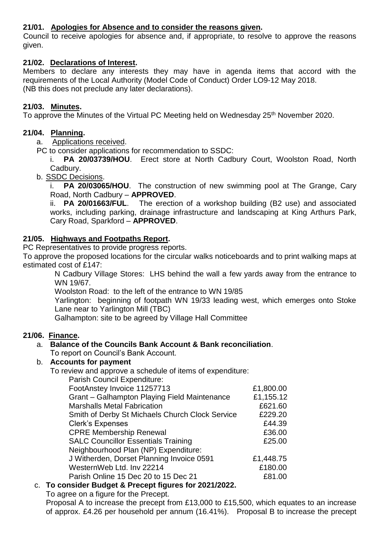### **21/01. Apologies for Absence and to consider the reasons given.**

Council to receive apologies for absence and, if appropriate, to resolve to approve the reasons given.

#### **21/02. Declarations of Interest.**

Members to declare any interests they may have in agenda items that accord with the requirements of the Local Authority (Model Code of Conduct) Order LO9-12 May 2018. (NB this does not preclude any later declarations).

#### **21/03. Minutes.**

To approve the Minutes of the Virtual PC Meeting held on Wednesday 25<sup>th</sup> November 2020.

#### **21/04. Planning.**

a. Applications received.

PC to consider applications for recommendation to SSDC:

i. **PA 20/03739/HOU**. Erect store at North Cadbury Court, Woolston Road, North Cadbury.

b. SSDC Decisions.

**PA 20/03065/HOU.** The construction of new swimming pool at The Grange, Cary Road, North Cadbury – **APPROVED**.

ii. **PA 20/01663/FUL**. The erection of a workshop building (B2 use) and associated works, including parking, drainage infrastructure and landscaping at King Arthurs Park, Cary Road, Sparkford – **APPROVED**.

#### **21/05. Highways and Footpaths Report.**

PC Representatives to provide progress reports.

To approve the proposed locations for the circular walks noticeboards and to print walking maps at estimated cost of £147:

N Cadbury Village Stores: LHS behind the wall a few yards away from the entrance to WN 19/67.

Woolston Road: to the left of the entrance to WN 19/85

Yarlington: beginning of footpath WN 19/33 leading west, which emerges onto Stoke Lane near to Yarlington Mill (TBC)

Galhampton: site to be agreed by Village Hall Committee

#### **21/06. Finance.**

### a. **Balance of the Councils Bank Account & Bank reconciliation**.

To report on Council's Bank Account.

### b. **Accounts for payment**

To review and approve a schedule of items of expenditure: Parish Council Expenditure:

| Parish Council Experimente.                     |           |
|-------------------------------------------------|-----------|
| FootAnstey Invoice 11257713                     | £1,800.00 |
| Grant - Galhampton Playing Field Maintenance    | £1,155.12 |
| <b>Marshalls Metal Fabrication</b>              | £621.60   |
| Smith of Derby St Michaels Church Clock Service | £229.20   |
| <b>Clerk's Expenses</b>                         | £44.39    |
| <b>CPRE Membership Renewal</b>                  | £36.00    |
| <b>SALC Councillor Essentials Training</b>      | £25.00    |
| Neighbourhood Plan (NP) Expenditure:            |           |
| J Witherden, Dorset Planning Invoice 0591       | £1,448.75 |
| WesternWeb Ltd. Inv 22214                       | £180.00   |
| Parish Online 15 Dec 20 to 15 Dec 21            | £81.00    |
|                                                 |           |

### c. **To consider Budget & Precept figures for 2021/2022.**

To agree on a figure for the Precept.

Proposal A to increase the precept from £13,000 to £15,500, which equates to an increase of approx. £4.26 per household per annum (16.41%). Proposal B to increase the precept